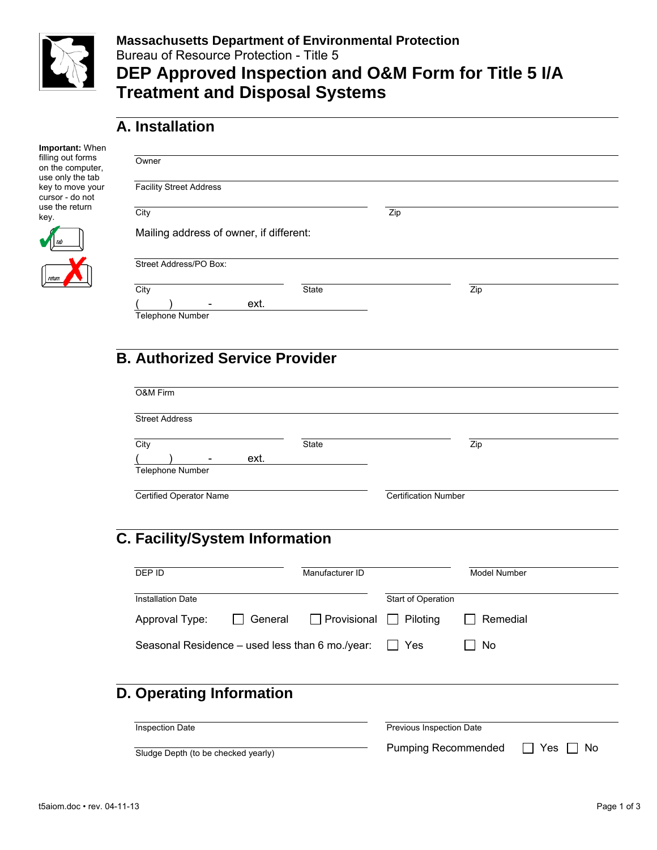

## **Massachusetts Department of Environmental Protection**  Bureau of Resource Protection - Title 5 **DEP Approved Inspection and O&M Form for Title 5 I/A Treatment and Disposal Systems**

# **A. Installation**

| Important: When                                           |                                         |              |     |     |  |
|-----------------------------------------------------------|-----------------------------------------|--------------|-----|-----|--|
| filling out forms<br>on the computer,<br>use only the tab | Owner                                   |              |     |     |  |
| key to move your<br>cursor - do not                       | <b>Facility Street Address</b>          |              |     |     |  |
| use the return<br>key.                                    | City                                    |              | Zip |     |  |
|                                                           | Mailing address of owner, if different: |              |     |     |  |
|                                                           | Street Address/PO Box:                  |              |     |     |  |
|                                                           | City                                    | <b>State</b> |     | Zip |  |
|                                                           | ext.                                    |              |     |     |  |
|                                                           | <b>Telephone Number</b>                 |              |     |     |  |
|                                                           |                                         |              |     |     |  |
|                                                           | <b>B. Authorized Service Provider</b>   |              |     |     |  |
|                                                           |                                         |              |     |     |  |
|                                                           | O&M Firm                                |              |     |     |  |

| City                     | State | Zip |  |
|--------------------------|-------|-----|--|
| $\overline{\phantom{a}}$ | ext.  |     |  |
| Telephone Number         |       |     |  |

# **C. Facility/System Information**

| DEP ID                                          |         | Manufacturer ID    |                           | <b>Model Number</b> |
|-------------------------------------------------|---------|--------------------|---------------------------|---------------------|
| <b>Installation Date</b>                        |         |                    | <b>Start of Operation</b> |                     |
| Approval Type:                                  | General | $\Box$ Provisional | Piloting                  | Remedial            |
| Seasonal Residence – used less than 6 mo./year: |         |                    | Yes                       | No                  |
| D. Operating Information                        |         |                    |                           |                     |
| <b>Inspection Date</b>                          |         |                    | Previous Inspection Date  |                     |

Sludge Depth (to be checked yearly) Pumping Recommended T Yes No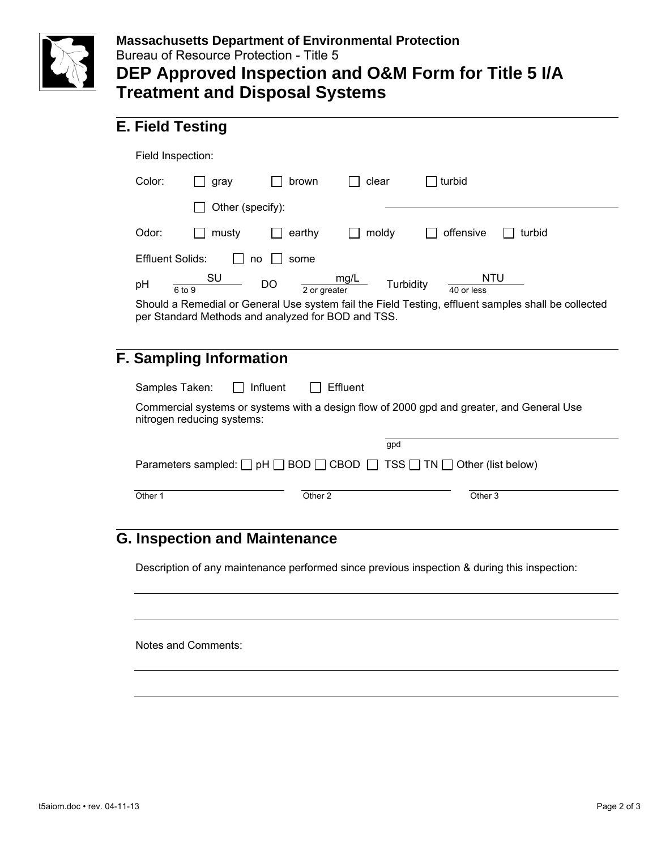

#### **Massachusetts Department of Environmental Protection**  Bureau of Resource Protection - Title 5

# **DEP Approved Inspection and O&M Form for Title 5 I/A Treatment and Disposal Systems**

## **E. Field Testing**

|        | Field Inspection:                                                |                    |                   |                                                                                                     |
|--------|------------------------------------------------------------------|--------------------|-------------------|-----------------------------------------------------------------------------------------------------|
| Color: | gray                                                             | brown              | clear             | ⊤turbid                                                                                             |
|        | Other (specify):                                                 |                    |                   |                                                                                                     |
| Odor:  | musty                                                            | earthy             | moldy             | offensive<br>turbid                                                                                 |
|        | <b>Effluent Solids:</b>                                          | some<br>no         |                   |                                                                                                     |
| pH     | SU<br>6 to 9                                                     | DO<br>2 or greater | mg/L<br>Turbidity | <b>NTU</b><br>40 or less                                                                            |
|        |                                                                  |                    |                   | Should a Remedial or General Use system fail the Field Testing, effluent samples shall be collected |
|        | per Standard Methods and analyzed for BOD and TSS.               |                    |                   |                                                                                                     |
|        | <b>F. Sampling Information</b><br>Samples Taken:<br>$\mathsf{I}$ | Influent           | Effluent          |                                                                                                     |
|        | nitrogen reducing systems:                                       |                    |                   | Commercial systems or systems with a design flow of 2000 gpd and greater, and General Use           |
|        |                                                                  |                    | gpd               |                                                                                                     |
|        |                                                                  |                    |                   | Parameters sampled: $\Box$ pH $\Box$ BOD $\Box$ CBOD $\Box$ TSS $\Box$ TN $\Box$ Other (list below) |

## **G. Inspection and Maintenance**

Description of any maintenance performed since previous inspection & during this inspection:

Notes and Comments: